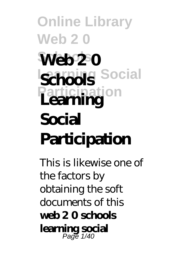#### **Online Library Web 2 0 Schools Web 2 0 Social Participation Schools Learning Social Participation**

This is likewise one of the factors by obtaining the soft documents of this **web 2 0 schools learning social** Page 1/40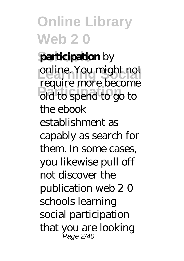**participation** by online. You might not **Participation** old to spend to go to require more become the ebook establishment as capably as search for them. In some cases, you likewise pull off not discover the publication web 2 0 schools learning social participation that you are looking Page 2/40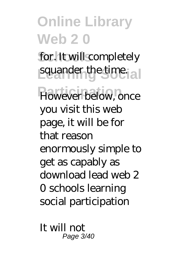**Online Library Web 2 0** for. It will completely squander the time. **However below, once** you visit this web page, it will be for that reason enormously simple to get as capably as download lead web 2 0 schools learning social participation

It will not Page 3/40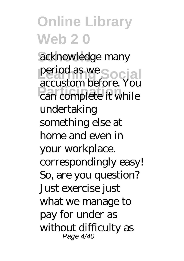acknowledge many period as we Social **Participation**<br>
can complete it while accustom before. You undertaking something else at home and even in your workplace. correspondingly easy! So, are you question? Just exercise just what we manage to pay for under as without difficulty as Page 4/40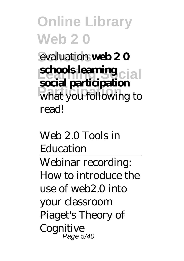**Online Library Web 2 0** evaluation **web 20 schools learning cial** what you following to **social participation** read!

*Web 2.0 Tools in Education* Webinar recording: How to introduce the use of web2.0 into your classroom Piaget's Theory of Cognitive Page 5/40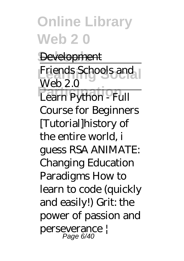Development Friends Schools and **Learn Python - Full** Web 2.0 Course for Beginners [Tutorial]*history of the entire world, i guess RSA ANIMATE: Changing Education Paradigms How to learn to code (quickly*

*and easily!)* Grit: the power of passion and perseverance | Page 6/40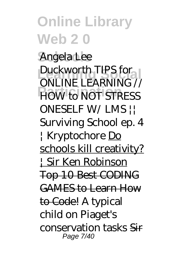**Schools** Angela Lee **Duckworth TIPS for POW to NOT STRESS** ONLINE LEARNING // ONESELF W/ LMS || Surviving School ep. 4 | Kryptochore Do schools kill creativity? | Sir Ken Robinson Top 10 Best CODING GAMES to Learn How to Code! A typical child on Piaget's conservation tasks Sir Page 7/40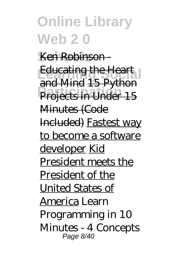#### Ken Robinson

**Educating the Heart Projects in Under 15** and Mind 15 Python Minutes (Code Included) Fastest way to become a software developer Kid President meets the President of the United States of America Learn Programming in 10 Minutes - 4 Concepts Page 8/40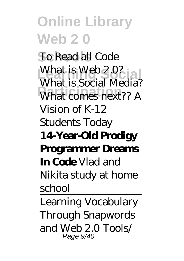**Schools** To Read all Code What is Web 2.0? What comes next?? A What is Social Media? Vision of K-12 Students Today **14-Year-Old Prodigy Programmer Dreams In Code** *Vlad and Nikita study at home school*

Learning Vocabulary Through Snapwords and Web 2.0 Tools/ Page 9/40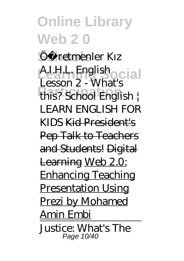Öc retmenler Kız **Learning Social** A.I.H.L. English **Participation** this? School English | Lesson 2 - What's LEARN ENGLISH FOR KIDS Kid President's Pep Talk to Teachers and Students! Digital Learning Web 2.0: Enhancing Teaching Presentation Using Prezi by Mohamed Amin Embi Justice: What's The Page 10/40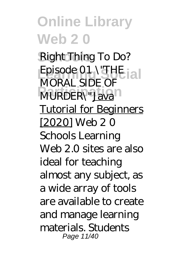Right Thing To Do? Episode 01 \"THE <sub>12</sub> **MURDER**\"Java MORAL SIDE OF Tutorial for Beginners [2020] Web 2 0 Schools Learning Web 2.0 sites are also ideal for teaching almost any subject, as a wide array of tools are available to create and manage learning materials. Students Page 11/40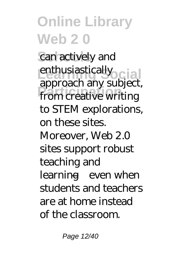can actively and enthusiastically **Participation** from creative writing approach any subject, to STEM explorations, on these sites. Moreover, Web 2.0 sites support robust teaching and learning—even when students and teachers are at home instead of the classroom.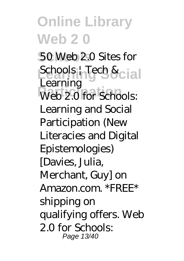50 Web 2.0 Sites for Schools | Tech & cial Web 2.0 for Schools: Learning Learning and Social Participation (New Literacies and Digital Epistemologies) [Davies, Julia, Merchant, Guy] on Amazon.com. \*FREE\* shipping on qualifying offers. Web 2.0 for Schools: Page 13/40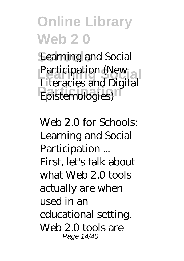Learning and Social Participation (New **Participation** Literacies and Digital

Web 2.0 for Schools: Learning and Social Participation ... First, let's talk about what Web 2.0 tools actually are when used in an educational setting. Web 2.0 tools are Page 14/40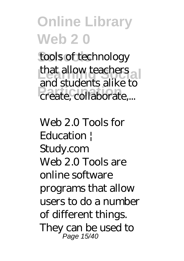tools of technology that allow teachers **Participation** create, collaborate,... and students alike to

Web 2.0 Tools for Education | Study.com Web 2.0 Tools are online software programs that allow users to do a number of different things. They can be used to Page 15/40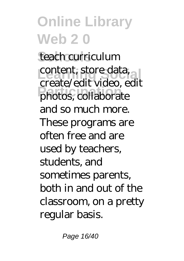teach curriculum content, store data, **Participation** photos, collaborate create/edit video, edit and so much more. These programs are often free and are used by teachers, students, and sometimes parents, both in and out of the classroom, on a pretty regular basis.

Page 16/40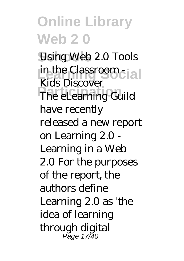Using Web 2.0 Tools in the Classroom - **Lating Society** The eLearning Guild Kids Discover have recently released a new report on Learning 2.0 - Learning in a Web 2.0 For the purposes of the report, the authors define Learning 2.0 as 'the idea of learning through digital Page 17/40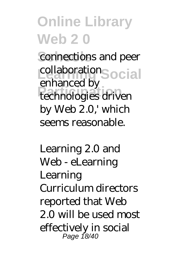connections and peer collaboration<sub>Social</sub> **Participation** technologies driven enhanced by by Web 2.0,' which seems reasonable.

Learning 2.0 and Web - eLearning Learning Curriculum directors reported that Web 2.0 will be used most effectively in social Page 18/40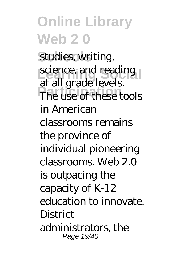studies, writing, science, and reading The use of these tools at all grade levels. in American classrooms remains the province of individual pioneering classrooms. Web 2.0 is outpacing the capacity of K-12 education to innovate. **District** administrators, the Page 19/40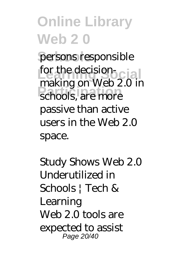persons responsible for the decision-**Participation** making on Web 2.0 in passive than active users in the Web 2.0 space.

Study Shows Web 2.0 Underutilized in Schools | Tech & Learning Web 2.0 tools are expected to assist Page 20/40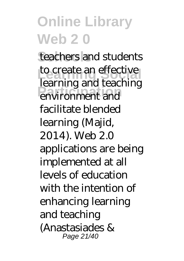teachers and students to create an effective **Participation** environment and learning and teaching facilitate blended learning (Majid, 2014). Web 2.0 applications are being implemented at all levels of education with the intention of enhancing learning and teaching (Anastasiades & Page 21/40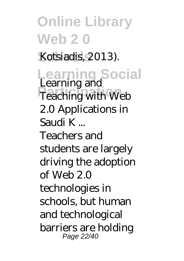Kotsiadis, 2013).

**Learning Social** Learning and **Participation**<br>
Teaching with Web 2.0 Applications in Saudi K ... Teachers and students are largely driving the adoption of Web  $2.0$ technologies in schools, but human and technological barriers are holding Page 22/40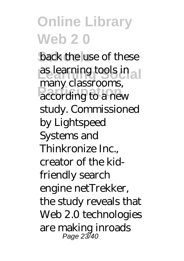back the use of these as learning tools in a **Participation** according to a new many classrooms, study. Commissioned by Lightspeed Systems and Thinkronize Inc., creator of the kidfriendly search engine netTrekker, the study reveals that Web 2.0 technologies are making inroads Page 23/40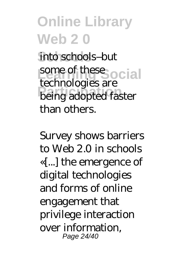into schools-but some of these ocial **Participation** being adopted faster technologies are than others.

Survey shows barriers to Web 2.0 in schools «[...] the emergence of digital technologies and forms of online engagement that privilege interaction over information, Page 24/40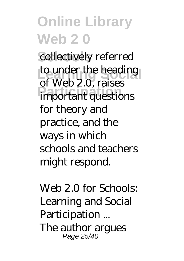collectively referred to under the heading **Participation** important questions of Web 2.0, raises for theory and practice, and the ways in which schools and teachers might respond.

Web 2.0 for Schools: Learning and Social Participation ... The author argues Page 25/40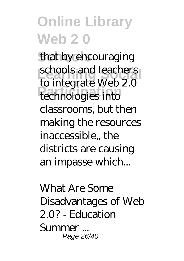that by encouraging schools and teachers **Participation** technologies into to integrate Web 2.0 classrooms, but then making the resources inaccessible,, the districts are causing an impasse which...

What Are Some Disadvantages of Web 2.0? - Education Summer ... Page 26/40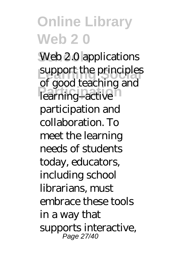Web 2.0 applications support the principles **Participation** learning--active of good teaching and participation and collaboration. To meet the learning needs of students today, educators, including school librarians, must embrace these tools in a way that supports interactive, Page 27/40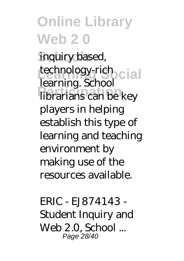inquiry based, technology-rich<br> **Learning School Participation** librarians can be key learning. School players in helping establish this type of learning and teaching environment by making use of the resources available.

ERIC - EJ874143 - Student Inquiry and Web 2.0, School ... Page 28/40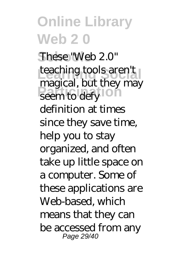**Schools** These "Web 2.0" teaching tools aren't **Participation** magical, but they may definition at times since they save time, help you to stay organized, and often take up little space on a computer. Some of these applications are Web-based, which means that they can be accessed from any Page 29/40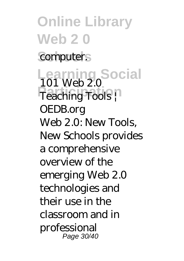**Online Library Web 2 0** computer. **Learning Social** 101 Web 2.0 Teaching Tools | OEDB.org Web 2.0: New Tools, New Schools provides a comprehensive overview of the emerging Web 2.0 technologies and their use in the classroom and in professional Page 30/40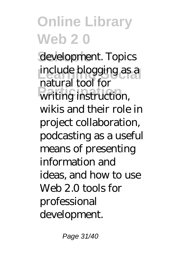development. Topics include blogging as a writing instruction, natural tool for wikis and their role in project collaboration, podcasting as a useful means of presenting information and ideas, and how to use Web 2.0 tools for professional development.

Page 31/40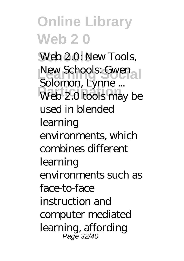Web 2.0: New Tools, New Schools: Gwen Web 2.0 tools may be Solomon, Lynne ... used in blended learning environments, which combines different learning environments such as face-to-face instruction and computer mediated learning, affording Page 32/40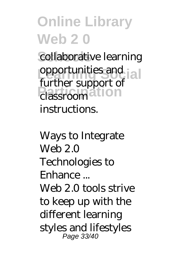collaborative learning **opportunities and [a] Participation** classroom further support of instructions.

Ways to Integrate Web 2.0 Technologies to Enhance ... Web 2.0 tools strive to keep up with the different learning styles and lifestyles Page 33/40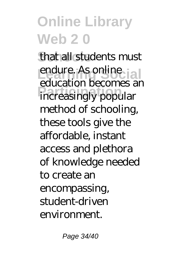that all students must endure. As online **Participation** *pecantes* education becomes an method of schooling, these tools give the affordable, instant access and plethora of knowledge needed to create an encompassing, student-driven environment.

Page 34/40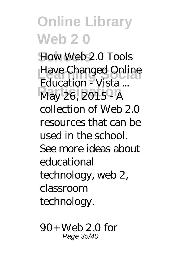How Web 2.0 Tools **Have Changed Online Participation** May 26, 2015 - A Education - Vista ... collection of Web 2.0 resources that can be used in the school. See more ideas about educational technology, web 2, classroom technology.

90+ Web 2.0 for Page 35/40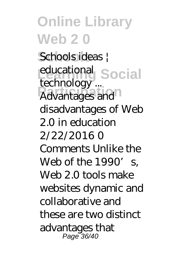**Schools** Schools ideas | educational Social **Participation** technology ... disadvantages of Web 2.0 in education 2/22/2016 0 Comments Unlike the Web of the  $1990'$  s. Web 2.0 tools make websites dynamic and collaborative and these are two distinct advantages that Page 36/40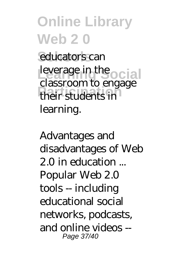#### **Online Library Web 2 0** educators can leverage in the **ocial** classroom to engage

**Participation** their students in learning.

Advantages and disadvantages of Web 2.0 in education ... Popular Web 2.0 tools -- including educational social networks, podcasts, and online videos -- Page 37/40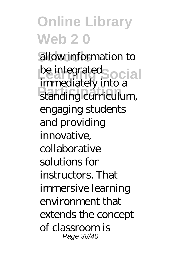allow information to be integrated<br>
integrated<br>
integrated<br>
integrated<br>
integrated<br>
integrated<br>
integrated<br>
integrated<br>
integrated<br>
integrated<br>
integrated<br>
integrated<br>
integrated<br>
integrated<br>
integrated<br>
integrated<br>
integrated<br>
integrated<br>
int **Participation** standing curriculum, immediately into a engaging students and providing innovative, collaborative solutions for instructors. That immersive learning environment that extends the concept of classroom is Page 38/40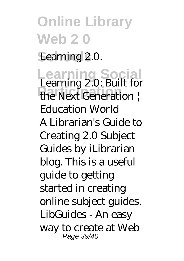#### **Online Library Web 2 0** Learning 2.0. **Learning Social Participation** the Next Generation | Learning 2.0: Built for Education World A Librarian's Guide to Creating 2.0 Subject Guides by iLibrarian blog. This is a useful guide to getting started in creating online subject guides. LibGuides - An easy way to create at Web Page 39/40